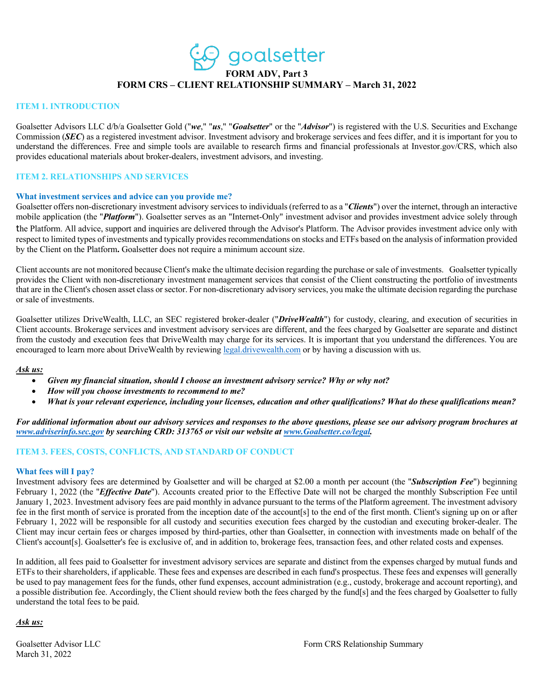qoalsetter **FORM ADV, Part 3 FORM CRS – CLIENT RELATIONSHIP SUMMARY – March 31, 2022**

#### **ITEM 1. INTRODUCTION**

Goalsetter Advisors LLC d/b/a Goalsetter Gold ("*we*," "*us*," "*Goalsetter*" or the "*Advisor*") is registered with the U.S. Securities and Exchange Commission (*SEC*) as a registered investment advisor. Investment advisory and brokerage services and fees differ, and it is important for you to understand the differences. Free and simple tools are available to research firms and financial professionals at Investor.gov/CRS, which also provides educational materials about broker-dealers, investment advisors, and investing.

#### **ITEM 2. RELATIONSHIPS AND SERVICES**

#### **What investment services and advice can you provide me?**

Goalsetter offers non-discretionary investment advisory services to individuals (referred to as a "*Clients*") over the internet, through an interactive mobile application (the "*Platform*"). Goalsetter serves as an "Internet-Only" investment advisor and provides investment advice solely through the Platform. All advice, support and inquiries are delivered through the Advisor's Platform. The Advisor provides investment advice only with respect to limited types of investments and typically provides recommendations on stocks and ETFs based on the analysis of information provided by the Client on the Platform**.** Goalsetter does not require a minimum account size.

Client accounts are not monitored because Client's make the ultimate decision regarding the purchase or sale of investments. Goalsetter typically provides the Client with non-discretionary investment management services that consist of the Client constructing the portfolio of investments that are in the Client's chosen asset class or sector. For non-discretionary advisory services, you make the ultimate decision regarding the purchase or sale of investments.

Goalsetter utilizes DriveWealth, LLC, an SEC registered broker-dealer ("*DriveWealth*") for custody, clearing, and execution of securities in Client accounts. Brokerage services and investment advisory services are different, and the fees charged by Goalsetter are separate and distinct from the custody and execution fees that DriveWealth may charge for its services. It is important that you understand the differences. You are encouraged to learn more about DriveWealth by reviewing legal.drivewealth.com or by having a discussion with us.

#### *Ask us:*

- *Given my financial situation, should I choose an investment advisory service? Why or why not?*
- *How will you choose investments to recommend to me?*
- *What is your relevant experience, including your licenses, education and other qualifications? What do these qualifications mean?*

*For additional information about our advisory services and responses to the above questions, please see our advisory program brochures at www.adviserinfo.sec.gov by searching CRD: 313765 or visit our website at www.Goalsetter.co/legal.*

## **ITEM 3. FEES, COSTS, CONFLICTS, AND STANDARD OF CONDUCT**

#### **What fees will I pay?**

Investment advisory fees are determined by Goalsetter and will be charged at \$2.00 a month per account (the "*Subscription Fee*") beginning February 1, 2022 (the "*Effective Date*"). Accounts created prior to the Effective Date will not be charged the monthly Subscription Fee until January 1, 2023. Investment advisory fees are paid monthly in advance pursuant to the terms of the Platform agreement. The investment advisory fee in the first month of service is prorated from the inception date of the account[s] to the end of the first month. Client's signing up on or after February 1, 2022 will be responsible for all custody and securities execution fees charged by the custodian and executing broker-dealer. The Client may incur certain fees or charges imposed by third-parties, other than Goalsetter, in connection with investments made on behalf of the Client's account[s]. Goalsetter's fee is exclusive of, and in addition to, brokerage fees, transaction fees, and other related costs and expenses.

In addition, all fees paid to Goalsetter for investment advisory services are separate and distinct from the expenses charged by mutual funds and ETFs to their shareholders, if applicable. These fees and expenses are described in each fund's prospectus. These fees and expenses will generally be used to pay management fees for the funds, other fund expenses, account administration (e.g., custody, brokerage and account reporting), and a possible distribution fee. Accordingly, the Client should review both the fees charged by the fund[s] and the fees charged by Goalsetter to fully understand the total fees to be paid.

## *Ask us:*

March 31, 2022